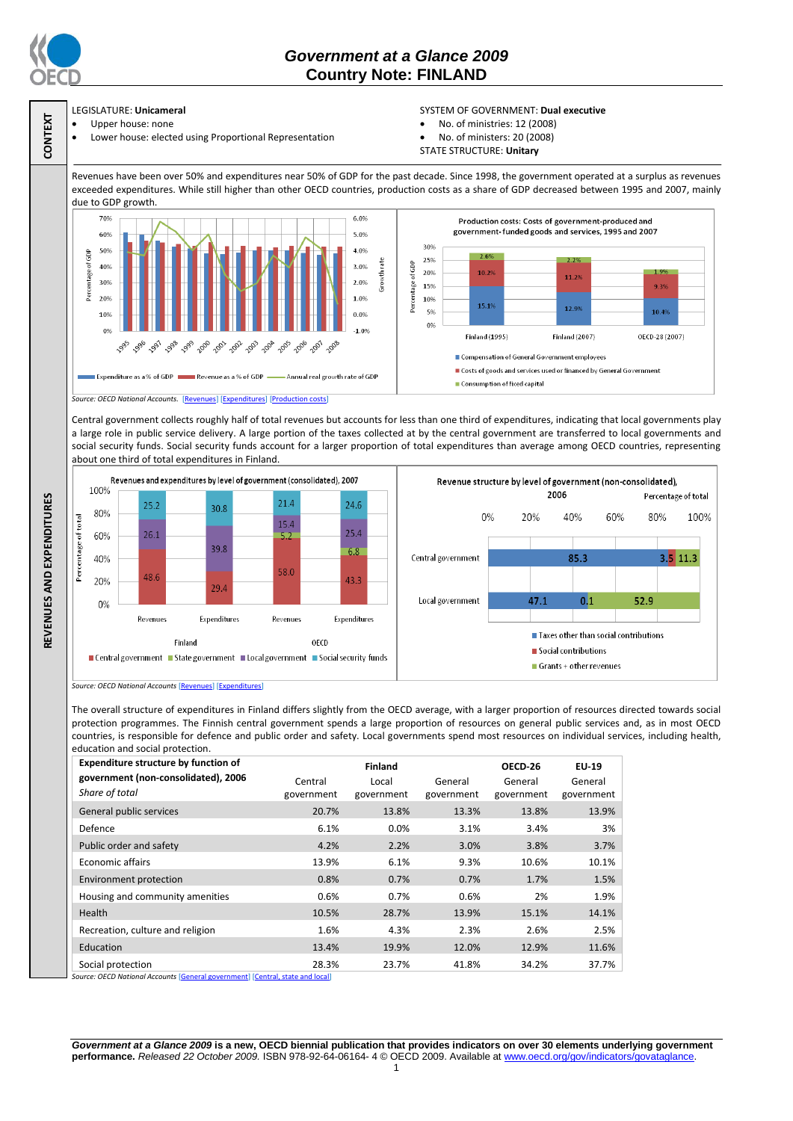

**CONTEXT**

**REVENUES AND EXPENDITURES**

REVENUES AND EXPENDITURES

# *Government at a Glance 2009*  **Country Note: FINLAND**

## LEGISLATURE: **Unicameral**

- Upper house: none
- Lower house: elected using Proportional Representation

### SYSTEM OF GOVERNMENT: **Dual executive**

- No. of ministries: 12 (2008)
- No. of ministers: 20 (2008)
- STATE STRUCTURE: **Unitary**

Revenues have been over 50% and expenditures near 50% of GDP for the past decade. Since 1998, the government operated at a surplus as revenues exceeded expenditures. While still higher than other OECD countries, production costs as a share of GDP decreased between 1995 and 2007, mainly due to GDP growth.



Central government collects roughly half of total revenues but accounts for less than one third of expenditures, indicating that local governments play a large role in public service delivery. A large portion of the taxes collected at by the central government are transferred to local governments and social security funds. Social security funds account for a larger proportion of total expenditures than average among OECD countries, representing about one third of total expenditures in Finland.



*Source: OECD National Accounts* [\[Revenues\]](http://dx.doi.org/10.1787/723418413857) [\[Expenditures\]](http://dx.doi.org/10.1787/723508524025)

The overall structure of expenditures in Finland differs slightly from the OECD average, with a larger proportion of resources directed towards social protection programmes. The Finnish central government spends a large proportion of resources on general public services and, as in most OECD countries, is responsible for defence and public order and safety. Local governments spend most resources on individual services, including health, education and social protection.

| <b>Expenditure structure by function of</b>                                                         | Finland    |            |            | OECD-26    | EU-19      |
|-----------------------------------------------------------------------------------------------------|------------|------------|------------|------------|------------|
| government (non-consolidated), 2006                                                                 | Central    | Local      | General    | General    | General    |
| Share of total                                                                                      | government | government | government | government | government |
| General public services                                                                             | 20.7%      | 13.8%      | 13.3%      | 13.8%      | 13.9%      |
| Defence                                                                                             | 6.1%       | $0.0\%$    | 3.1%       | 3.4%       | 3%         |
| Public order and safety                                                                             | 4.2%       | 2.2%       | 3.0%       | 3.8%       | 3.7%       |
| Economic affairs                                                                                    | 13.9%      | 6.1%       | 9.3%       | 10.6%      | 10.1%      |
| Environment protection                                                                              | 0.8%       | 0.7%       | 0.7%       | 1.7%       | 1.5%       |
| Housing and community amenities                                                                     | 0.6%       | 0.7%       | 0.6%       | 2%         | 1.9%       |
| Health                                                                                              | 10.5%      | 28.7%      | 13.9%      | 15.1%      | 14.1%      |
| Recreation, culture and religion                                                                    | 1.6%       | 4.3%       | 2.3%       | 2.6%       | 2.5%       |
| Education                                                                                           | 13.4%      | 19.9%      | 12.0%      | 12.9%      | 11.6%      |
| Social protection<br>Connect OFCD Nextonal Accounts [Concept accessories] [Control inter-and local] | 28.3%      | 23.7%      | 41.8%      | 34.2%      | 37.7%      |

*Source: OECD National Accounts* [\[General government\]](http://dx.doi.org/10.1787/723501646741) [\[Central, state and local\]](http://dx.doi.org/10.1787/723508524025)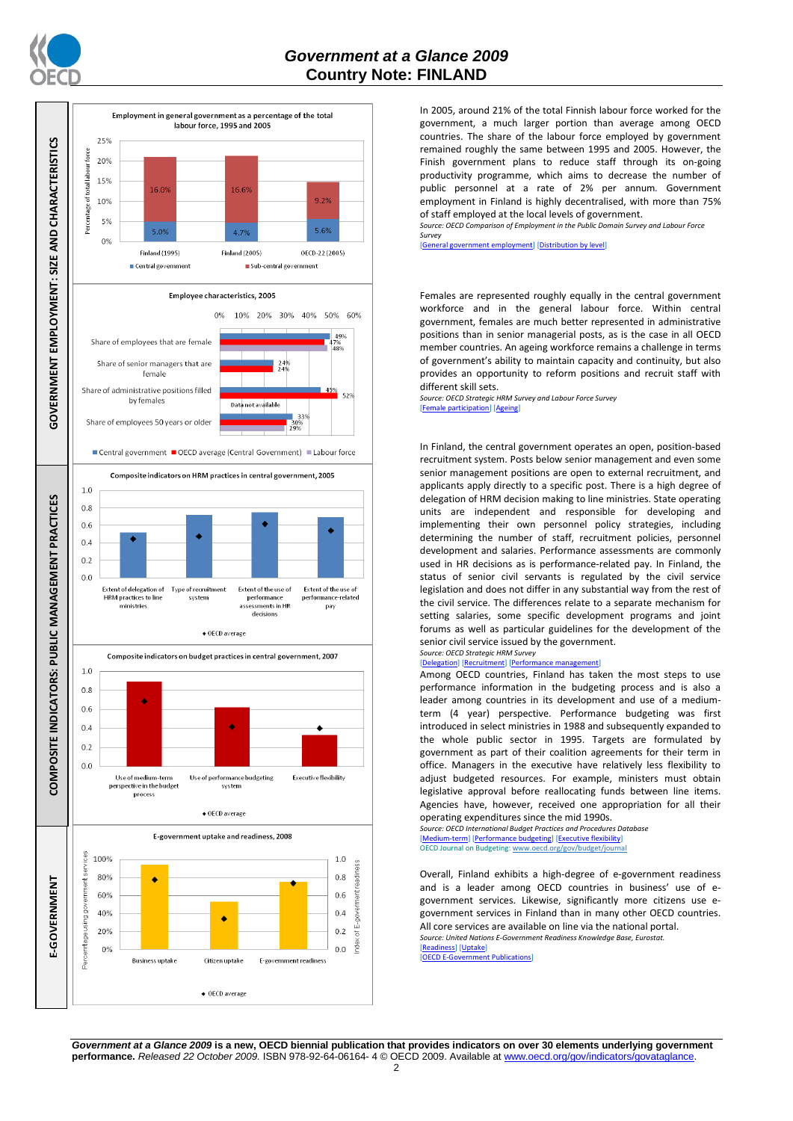



In 2005, around 21% of the total Finnish labour force worked for the government, a much larger portion than average among OECD countries. The share of the labour force employed by government remained roughly the same between 1995 and 2005. However, the Finish government plans to reduce staff through its on-going productivity programme, which aims to decrease the number of public personnel at a rate of 2% per annum*.* Government employment in Finland is highly decentralised, with more than 75% of staff employed at the local levels of government.

*Source: OECD Comparison of Employment in the Public Domain Survey and Labour Force Survey*

ernment employment] [\[Distribution by level\]](http://dx.doi.org/10.1787/723627140760)

Females are represented roughly equally in the central government workforce and in the general labour force. Within central government, females are much better represented in administrative positions than in senior managerial posts, as is the case in all OECD member countries. An ageing workforce remains a challenge in terms of government's ability to maintain capacity and continuity, but also provides an opportunity to reform positions and recruit staff with different skill sets.

*Source: OECD Strategic HRM Survey and Labour Force Survey* e participation] [\[Ageing\]](http://dx.doi.org/10.1787/723656070327)

In Finland, the central government operates an open, position-based recruitment system. Posts below senior management and even some senior management positions are open to external recruitment, and applicants apply directly to a specific post. There is a high degree of delegation of HRM decision making to line ministries. State operating units are independent and responsible for developing and implementing their own personnel policy strategies, including determining the number of staff, recruitment policies, personnel development and salaries. Performance assessments are commonly used in HR decisions as is performance-related pay. In Finland, the status of senior civil servants is regulated by the civil service legislation and does not differ in any substantial way from the rest of the civil service. The differences relate to a separate mechanism for setting salaries, some specific development programs and joint forums as well as particular guidelines for the development of the senior civil service issued by the government.

#### *Source: OECD Strategic HRM Survey*  [\[Delegation\]](http://dx.doi.org/10.1787/723663744332) [\[Recruitment\]](http://dx.doi.org/10.1787/723668744361) [\[Performance management\]](http://dx.doi.org/10.1787/723750171710)

Among OECD countries, Finland has taken the most steps to use performance information in the budgeting process and is also a leader among countries in its development and use of a mediumterm (4 year) perspective. Performance budgeting was first introduced in select ministries in 1988 and subsequently expanded to the whole public sector in 1995. Targets are formulated by government as part of their coalition agreements for their term in office. Managers in the executive have relatively less flexibility to adjust budgeted resources. For example, ministers must obtain legislative approval before reallocating funds between line items. Agencies have, however, received one appropriation for all their operating expenditures since the mid 1990s.

*Source: OECD International Budget Practices and Procedures Database* [\[Medium-term\]](http://dx.doi.org/10.1787/723856770865) [\[Performance budgeting\]](http://dx.doi.org/10.1787/723863437686) [\[Executive flexibility\]](http://dx.doi.org/10.1787/723876713213) OECD Journal on Budgeting[: www.oecd.org/gov/budget/journal](http://www.oecd.org/gov/budget/journal)

Overall, Finland exhibits a high-degree of e-government readiness and is a leader among OECD countries in business' use of egovernment services. Likewise, significantly more citizens use egovernment services in Finland than in many other OECD countries. All core services are available on line via the national portal. *Source: United Nations E-Government Readiness Knowledge Base, Eurostat.*

[\[Readiness\]](http://dx.doi.org/10.1787/724248078408) [\[Uptake\]](http://dx.doi.org/10.1787/724264662272) **[OECD E-Government** 

*Government at a Glance 2009* **is a new, OECD biennial publication that provides indicators on over 30 elements underlying government performance.** *Released 22 October 2009.* ISBN 978-92-64-06164- 4 © OECD 2009. Available at www.oecd.org/gov/indicators/govataglance.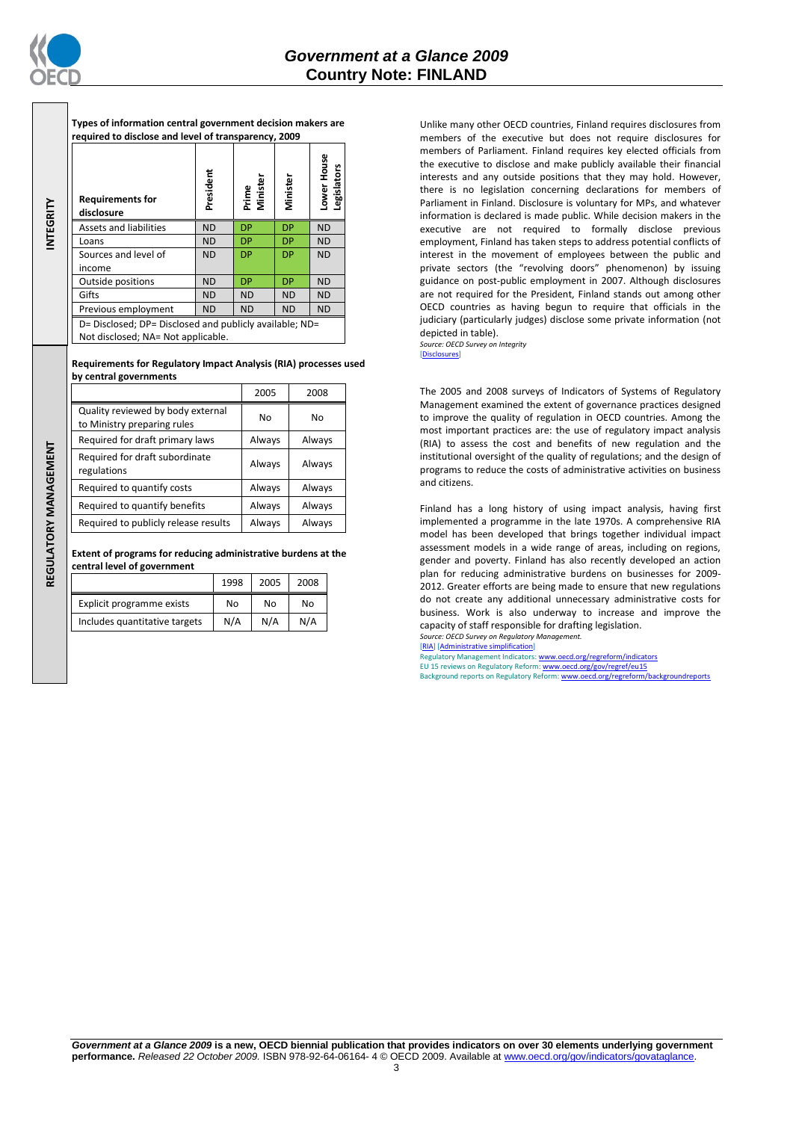

**INTEGRITY**

**REGULATORY MANAGEMENT**REGULATORY MANAGEMENT **Types of information central government decision makers are required to disclose and level of transparency, 2009**

| <b>Requirements for</b><br>disclosure                                                         | President | Prime<br>Minister | Minister  | ower House<br>egislators. |
|-----------------------------------------------------------------------------------------------|-----------|-------------------|-----------|---------------------------|
| <b>Assets and liabilities</b>                                                                 | <b>ND</b> | <b>DP</b>         | <b>DP</b> | <b>ND</b>                 |
| Loans                                                                                         | <b>ND</b> | <b>DP</b>         | <b>DP</b> | <b>ND</b>                 |
| Sources and level of<br>income                                                                | <b>ND</b> | <b>DP</b>         | <b>DP</b> | <b>ND</b>                 |
| Outside positions                                                                             | <b>ND</b> | <b>DP</b>         | <b>DP</b> | <b>ND</b>                 |
| Gifts                                                                                         | <b>ND</b> | <b>ND</b>         | <b>ND</b> | <b>ND</b>                 |
| Previous employment                                                                           | <b>ND</b> | <b>ND</b>         | <b>ND</b> | <b>ND</b>                 |
| D= Disclosed; DP= Disclosed and publicly available; ND=<br>Not disclosed; NA= Not applicable. |           |                   |           |                           |

**Requirements for Regulatory Impact Analysis (RIA) processes used by central governments**

|                                                                  | 2005   | 2008   |
|------------------------------------------------------------------|--------|--------|
| Quality reviewed by body external<br>to Ministry preparing rules | No     | No     |
| Required for draft primary laws                                  | Always | Always |
| Required for draft subordinate<br>regulations                    | Always | Always |
| Required to quantify costs                                       | Always | Always |
| Required to quantify benefits                                    | Always | Always |
| Required to publicly release results                             | Always | Always |

**Extent of programs for reducing administrative burdens at the central level of government**

|                               | 1998 | 2005 | 2008 |
|-------------------------------|------|------|------|
| Explicit programme exists     | No   | No   | No   |
| Includes quantitative targets | N/A  | N/A  | N/A  |

Unlike many other OECD countries, Finland requires disclosures from members of the executive but does not require disclosures for members of Parliament. Finland requires key elected officials from the executive to disclose and make publicly available their financial interests and any outside positions that they may hold. However, there is no legislation concerning declarations for members of Parliament in Finland. Disclosure is voluntary for MPs, and whatever information is declared is made public. While decision makers in the executive are not required to formally disclose previous employment, Finland has taken steps to address potential conflicts of interest in the movement of employees between the public and private sectors (the "revolving doors" phenomenon) by issuing guidance on post-public employment in 2007. Although disclosures are not required for the President, Finland stands out among other OECD countries as having begun to require that officials in the judiciary (particularly judges) disclose some private information (not depicted in table).

*Source: OECD Survey on Integrity*

[\[Disclosures\]](http://dx.doi.org/10.1787/724123642681)

The 2005 and 2008 surveys of Indicators of Systems of Regulatory Management examined the extent of governance practices designed to improve the quality of regulation in OECD countries. Among the most important practices are: the use of regulatory impact analysis (RIA) to assess the cost and benefits of new regulation and the institutional oversight of the quality of regulations; and the design of programs to reduce the costs of administrative activities on business and citizens.

Finland has a long history of using impact analysis, having first implemented a programme in the late 1970s. A comprehensive RIA model has been developed that brings together individual impact assessment models in a wide range of areas, including on regions, gender and poverty. Finland has also recently developed an action plan for reducing administrative burdens on businesses for 2009- 2012. Greater efforts are being made to ensure that new regulations do not create any additional unnecessary administrative costs for business. Work is also underway to increase and improve the capacity of staff responsible for drafting legislation.

*Source: OECD Survey on Regulatory Management.* [\[RIA\]](http://dx.doi.org/10.1787/724045144354) [\[Administrative simplification\]](http://dx.doi.org/10.1787/724058851054) Regulatory Management Indicators[: www.oecd.org/regreform/indicators](http://www.oecd.org/regreform/indicators)<br>EU 15 reviews on Regulatory Reform[: www.oecd.org/gov/regref/eu15](http://www.oecd.org/gov/regref/eu15)

Background reports on Regulatory Reform[: www.oecd.org/regreform/backgroundreports](http://www.oecd.org/regreform/backgroundreports)